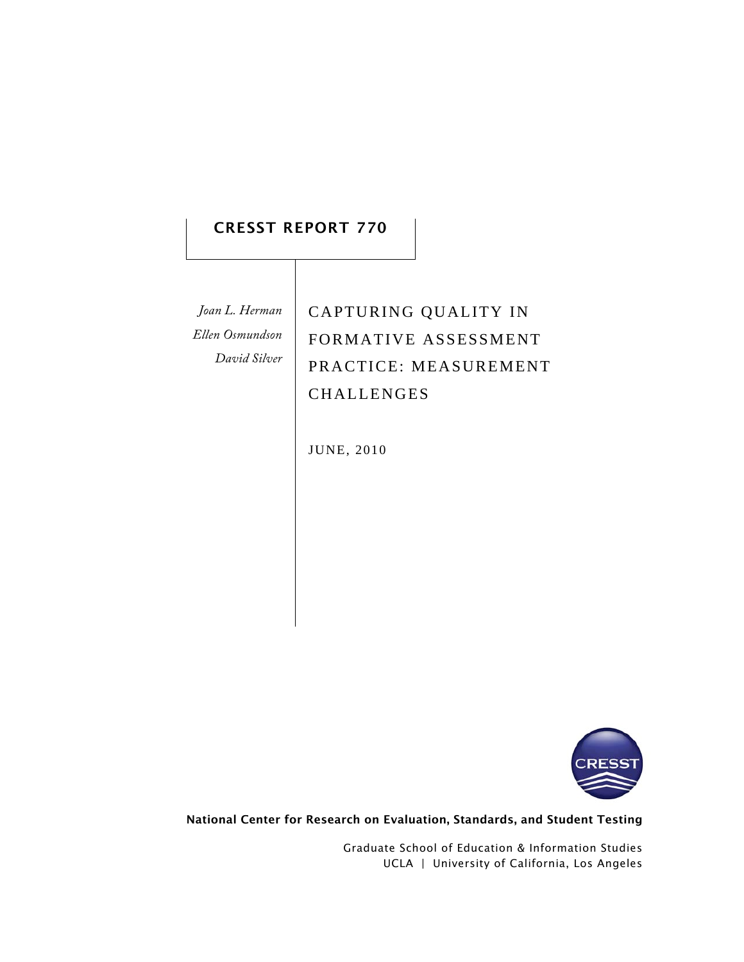# CRESST REPORT 770

*Joan L. Herman Ellen Osmundson David Silver* CAPTURING QUALITY IN FORMATIVE ASSESSMENT PRACTICE: MEASUREMENT CHALLENGES

JUNE, 2010



National Center for Research on Evaluation, Standards, and Student Testing

Graduate School of Education & Information Studies UCLA | University of California, Los Angeles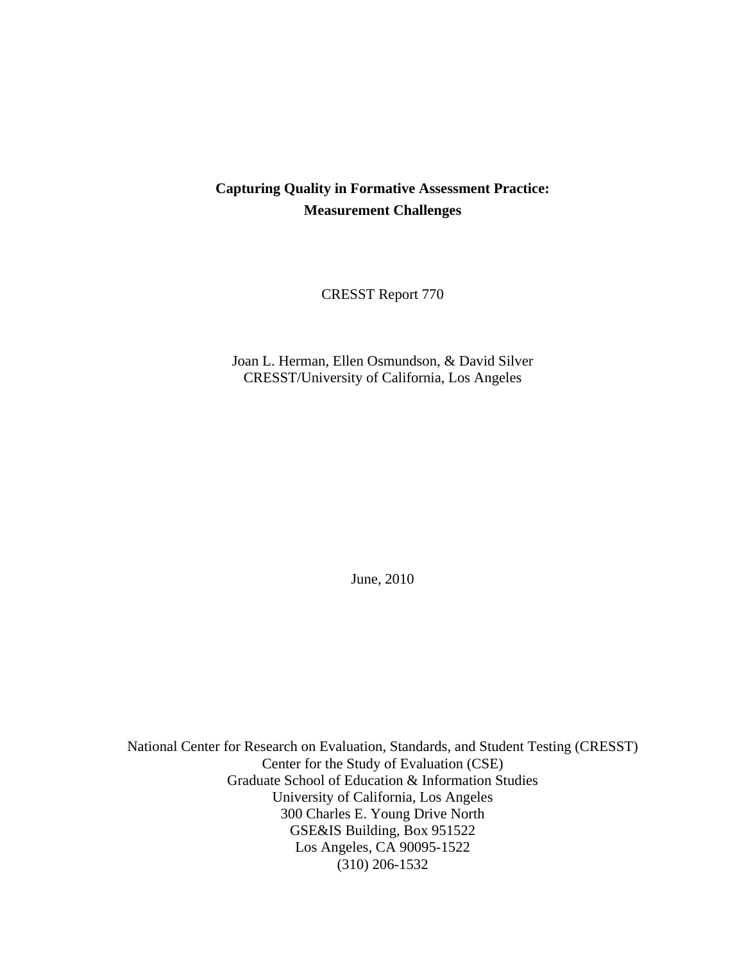# **Capturing Quality in Formative Assessment Practice: Measurement Challenges**

CRESST Report 770

Joan L. Herman, Ellen Osmundson, & David Silver CRESST/University of California, Los Angeles

June, 2010

National Center for Research on Evaluation, Standards, and Student Testing (CRESST) Center for the Study of Evaluation (CSE) Graduate School of Education & Information Studies University of California, Los Angeles 300 Charles E. Young Drive North GSE&IS Building, Box 951522 Los Angeles, CA 90095-1522 (310) 206-1532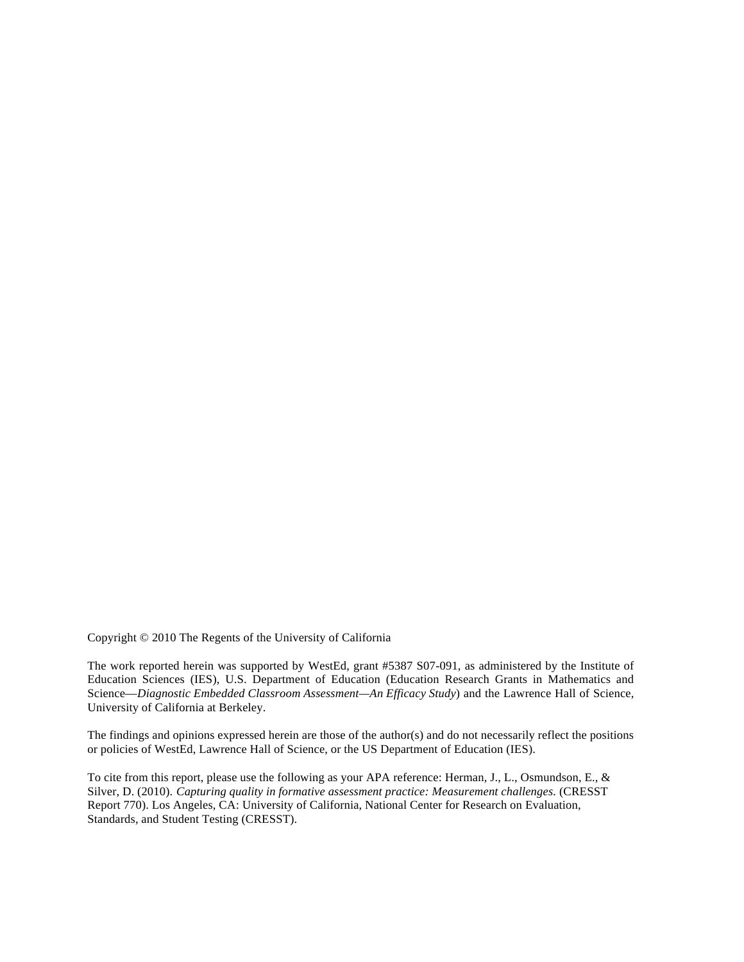Copyright © 2010 The Regents of the University of California

The work reported herein was supported by WestEd, grant #5387 S07-091, as administered by the Institute of Education Sciences (IES), U.S. Department of Education (Education Research Grants in Mathematics and Science—*Diagnostic Embedded Classroom Assessment—An Efficacy Study*) and the Lawrence Hall of Science, University of California at Berkeley.

The findings and opinions expressed herein are those of the author(s) and do not necessarily reflect the positions or policies of WestEd, Lawrence Hall of Science, or the US Department of Education (IES).

To cite from this report, please use the following as your APA reference: Herman, J., L., Osmundson, E., & Silver, D. (2010). *Capturing quality in formative assessment practice: Measurement challenges.* (CRESST Report 770). Los Angeles, CA: University of California, National Center for Research on Evaluation, Standards, and Student Testing (CRESST).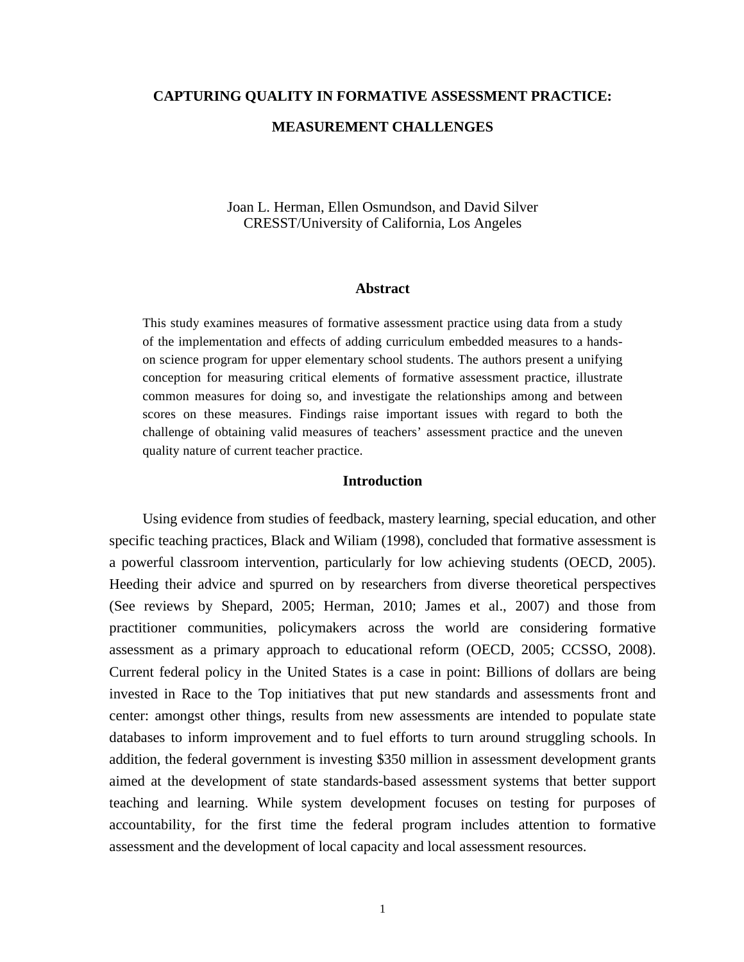# **CAPTURING QUALITY IN FORMATIVE ASSESSMENT PRACTICE:**

# **MEASUREMENT CHALLENGES**

# Joan L. Herman, Ellen Osmundson, and David Silver CRESST/University of California, Los Angeles

### **Abstract**

This study examines measures of formative assessment practice using data from a study of the implementation and effects of adding curriculum embedded measures to a handson science program for upper elementary school students. The authors present a unifying conception for measuring critical elements of formative assessment practice, illustrate common measures for doing so, and investigate the relationships among and between scores on these measures. Findings raise important issues with regard to both the challenge of obtaining valid measures of teachers' assessment practice and the uneven quality nature of current teacher practice.

## **Introduction**

Using evidence from studies of feedback, mastery learning, special education, and other specific teaching practices, Black and Wiliam (1998), concluded that formative assessment is a powerful classroom intervention, particularly for low achieving students (OECD, 2005). Heeding their advice and spurred on by researchers from diverse theoretical perspectives (See reviews by Shepard, 2005; Herman, 2010; James et al., 2007) and those from practitioner communities, policymakers across the world are considering formative assessment as a primary approach to educational reform (OECD, 2005; CCSSO, 2008). Current federal policy in the United States is a case in point: Billions of dollars are being invested in Race to the Top initiatives that put new standards and assessments front and center: amongst other things, results from new assessments are intended to populate state databases to inform improvement and to fuel efforts to turn around struggling schools. In addition, the federal government is investing \$350 million in assessment development grants aimed at the development of state standards-based assessment systems that better support teaching and learning. While system development focuses on testing for purposes of accountability, for the first time the federal program includes attention to formative assessment and the development of local capacity and local assessment resources.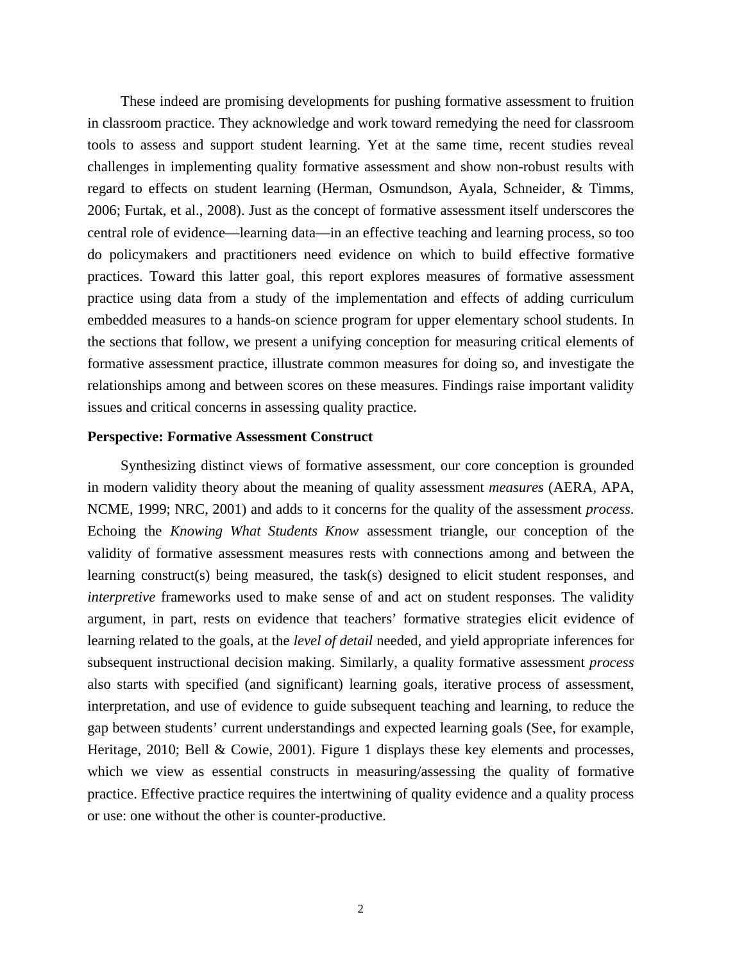These indeed are promising developments for pushing formative assessment to fruition in classroom practice. They acknowledge and work toward remedying the need for classroom tools to assess and support student learning. Yet at the same time, recent studies reveal challenges in implementing quality formative assessment and show non-robust results with regard to effects on student learning (Herman, Osmundson, Ayala, Schneider, & Timms, 2006; Furtak, et al., 2008). Just as the concept of formative assessment itself underscores the central role of evidence—learning data—in an effective teaching and learning process, so too do policymakers and practitioners need evidence on which to build effective formative practices. Toward this latter goal, this report explores measures of formative assessment practice using data from a study of the implementation and effects of adding curriculum embedded measures to a hands-on science program for upper elementary school students. In the sections that follow, we present a unifying conception for measuring critical elements of formative assessment practice, illustrate common measures for doing so, and investigate the relationships among and between scores on these measures. Findings raise important validity issues and critical concerns in assessing quality practice.

## **Perspective: Formative Assessment Construct**

Synthesizing distinct views of formative assessment, our core conception is grounded in modern validity theory about the meaning of quality assessment *measures* (AERA, APA, NCME, 1999; NRC, 2001) and adds to it concerns for the quality of the assessment *process*. Echoing the *Knowing What Students Know* assessment triangle, our conception of the validity of formative assessment measures rests with connections among and between the learning construct(s) being measured, the task(s) designed to elicit student responses, and *interpretive* frameworks used to make sense of and act on student responses. The validity argument, in part, rests on evidence that teachers' formative strategies elicit evidence of learning related to the goals, at the *level of detail* needed, and yield appropriate inferences for subsequent instructional decision making. Similarly, a quality formative assessment *process* also starts with specified (and significant) learning goals, iterative process of assessment, interpretation, and use of evidence to guide subsequent teaching and learning, to reduce the gap between students' current understandings and expected learning goals (See, for example, Heritage, 2010; Bell & Cowie, 2001). Figure 1 displays these key elements and processes, which we view as essential constructs in measuring/assessing the quality of formative practice. Effective practice requires the intertwining of quality evidence and a quality process or use: one without the other is counter-productive.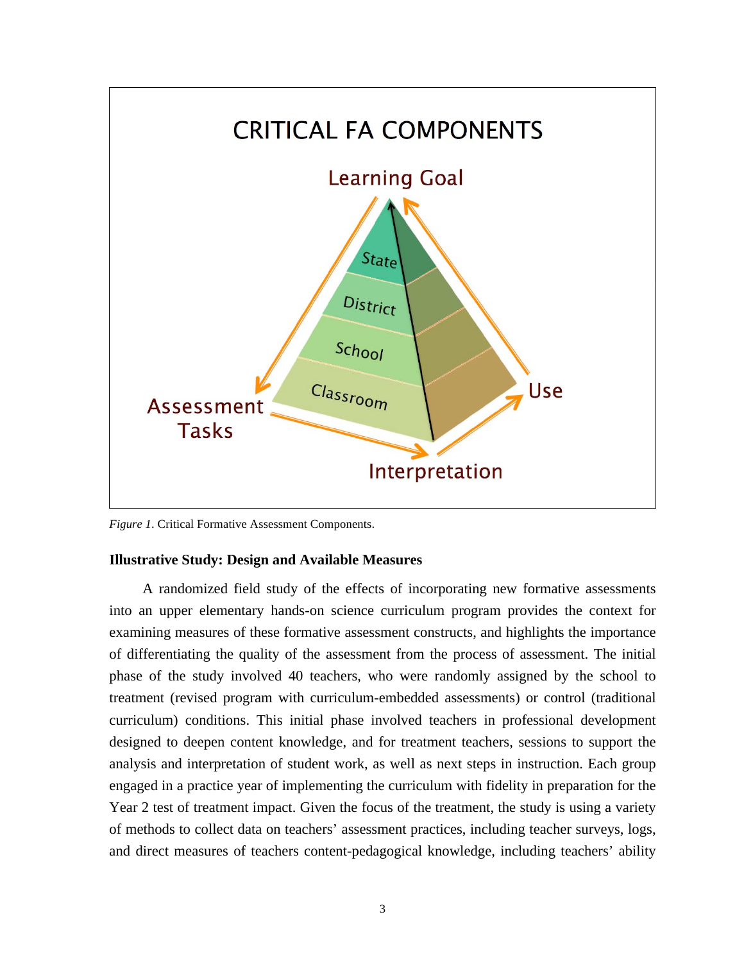

*Figure 1*. Critical Formative Assessment Components.

### **Illustrative Study: Design and Available Measures**

A randomized field study of the effects of incorporating new formative assessments into an upper elementary hands-on science curriculum program provides the context for examining measures of these formative assessment constructs, and highlights the importance of differentiating the quality of the assessment from the process of assessment. The initial phase of the study involved 40 teachers, who were randomly assigned by the school to treatment (revised program with curriculum-embedded assessments) or control (traditional curriculum) conditions. This initial phase involved teachers in professional development designed to deepen content knowledge, and for treatment teachers, sessions to support the analysis and interpretation of student work, as well as next steps in instruction. Each group engaged in a practice year of implementing the curriculum with fidelity in preparation for the Year 2 test of treatment impact. Given the focus of the treatment, the study is using a variety of methods to collect data on teachers' assessment practices, including teacher surveys, logs, and direct measures of teachers content-pedagogical knowledge, including teachers' ability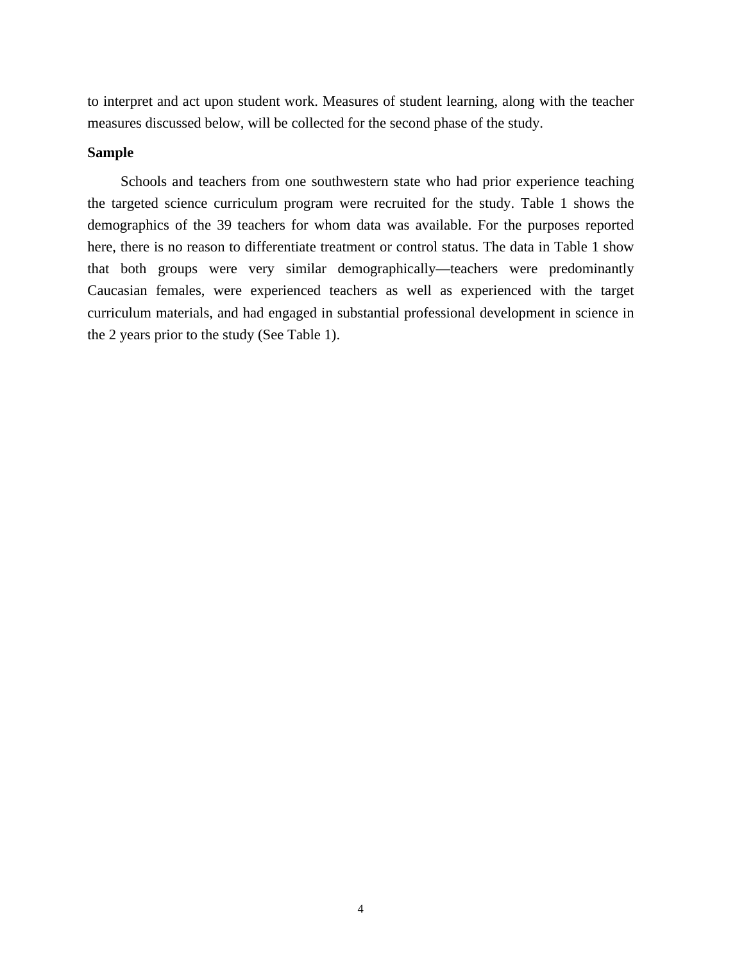to interpret and act upon student work. Measures of student learning, along with the teacher measures discussed below, will be collected for the second phase of the study.

## **Sample**

Schools and teachers from one southwestern state who had prior experience teaching the targeted science curriculum program were recruited for the study. Table 1 shows the demographics of the 39 teachers for whom data was available. For the purposes reported here, there is no reason to differentiate treatment or control status. The data in Table 1 show that both groups were very similar demographically—teachers were predominantly Caucasian females, were experienced teachers as well as experienced with the target curriculum materials, and had engaged in substantial professional development in science in the 2 years prior to the study (See Table 1).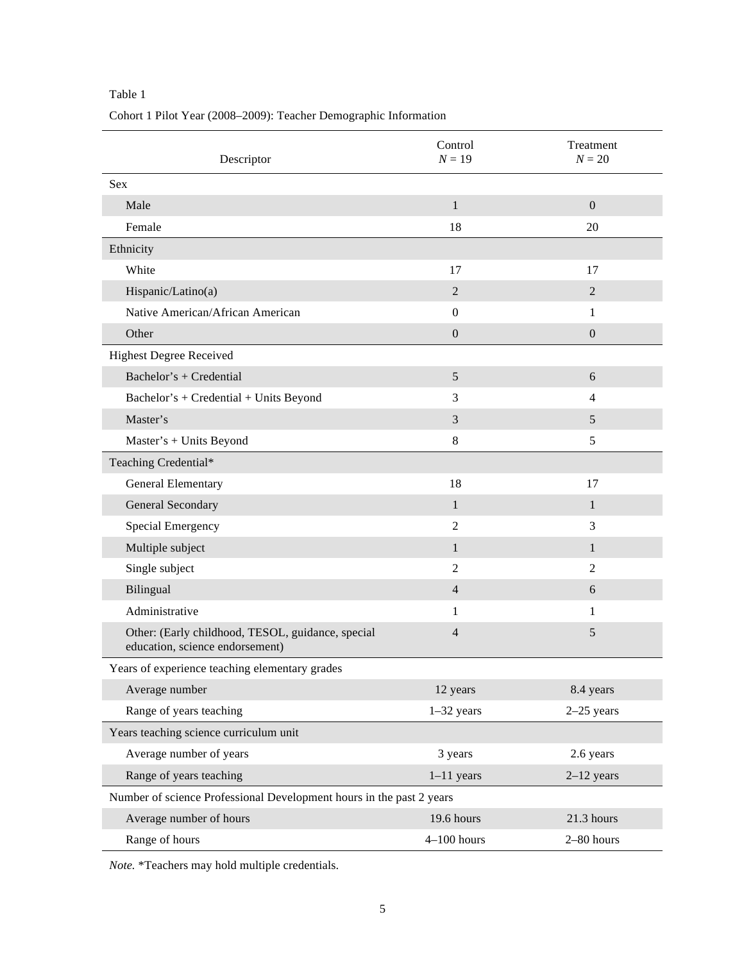Cohort 1 Pilot Year (2008–2009): Teacher Demographic Information

| Descriptor                                                                           | Control<br>$N = 19$ | Treatment<br>$N = 20$ |
|--------------------------------------------------------------------------------------|---------------------|-----------------------|
| Sex                                                                                  |                     |                       |
| Male                                                                                 | $\mathbf{1}$        | $\mathbf{0}$          |
| Female                                                                               | 18                  | 20                    |
| Ethnicity                                                                            |                     |                       |
| White                                                                                | 17                  | 17                    |
| Hispanic/Latino(a)                                                                   | $\overline{2}$      | $\overline{2}$        |
| Native American/African American                                                     | $\boldsymbol{0}$    | $\mathbf{1}$          |
| Other                                                                                | $\boldsymbol{0}$    | $\boldsymbol{0}$      |
| <b>Highest Degree Received</b>                                                       |                     |                       |
| Bachelor's + Credential                                                              | 5                   | 6                     |
| Bachelor's + Credential + Units Beyond                                               | 3                   | $\overline{4}$        |
| Master's                                                                             | 3                   | 5                     |
| Master's + Units Beyond                                                              | $\,8\,$             | 5                     |
| Teaching Credential*                                                                 |                     |                       |
| General Elementary                                                                   | 18                  | 17                    |
| General Secondary                                                                    | $\mathbf{1}$        | $\mathbf{1}$          |
| Special Emergency                                                                    | $\overline{c}$      | 3                     |
| Multiple subject                                                                     | $\mathbf{1}$        | $\mathbf{1}$          |
| Single subject                                                                       | $\overline{2}$      | $\overline{2}$        |
| Bilingual                                                                            | $\overline{4}$      | 6                     |
| Administrative                                                                       | 1                   | 1                     |
| Other: (Early childhood, TESOL, guidance, special<br>education, science endorsement) | 4                   | 5                     |
| Years of experience teaching elementary grades                                       |                     |                       |
| Average number                                                                       | 12 years            | 8.4 years             |
| Range of years teaching                                                              | $1-32$ years        | $2-25$ years          |
| Years teaching science curriculum unit                                               |                     |                       |
| Average number of years                                                              | 3 years             | 2.6 years             |
| Range of years teaching                                                              | $1-11$ years        | $2-12$ years          |
| Number of science Professional Development hours in the past 2 years                 |                     |                       |
| Average number of hours                                                              | 19.6 hours          | 21.3 hours            |
| Range of hours                                                                       | $4-100$ hours       | 2-80 hours            |

*Note.* \*Teachers may hold multiple credentials.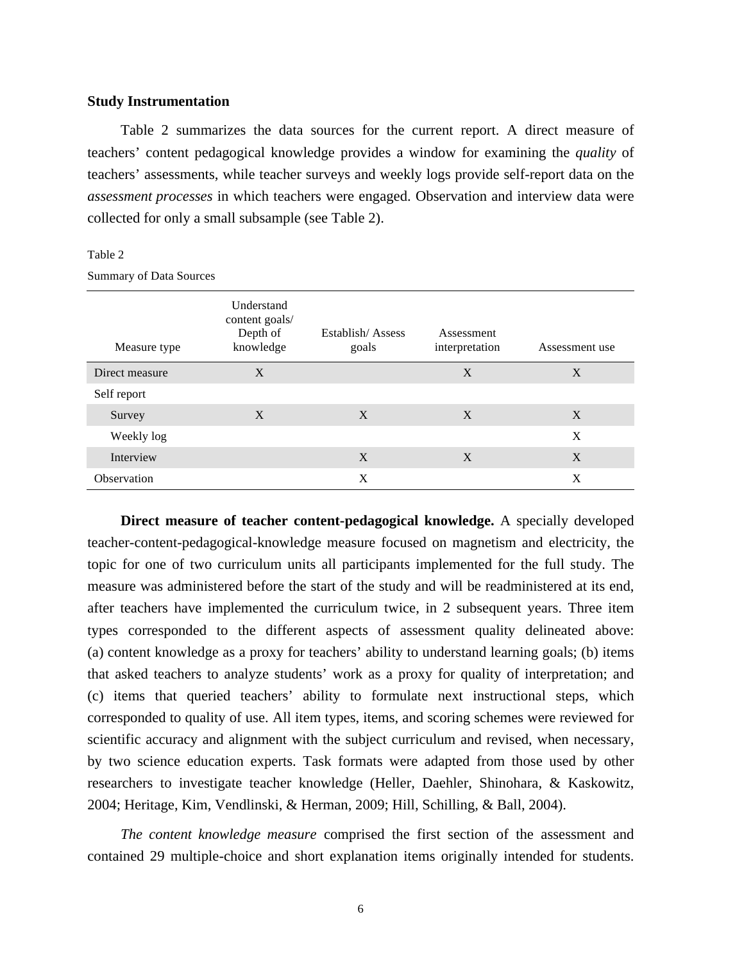## **Study Instrumentation**

Table 2 summarizes the data sources for the current report. A direct measure of teachers' content pedagogical knowledge provides a window for examining the *quality* of teachers' assessments, while teacher surveys and weekly logs provide self-report data on the *assessment processes* in which teachers were engaged. Observation and interview data were collected for only a small subsample (see Table 2).

#### Table 2

Summary of Data Sources

| Measure type   | Understand<br>content goals/<br>Depth of<br>knowledge | Establish/Assess<br>goals | Assessment<br>interpretation | Assessment use |
|----------------|-------------------------------------------------------|---------------------------|------------------------------|----------------|
| Direct measure | X                                                     |                           | X                            | X              |
| Self report    |                                                       |                           |                              |                |
| Survey         | X                                                     | X                         | X                            | X              |
| Weekly log     |                                                       |                           |                              | X              |
| Interview      |                                                       | X                         | X                            | X              |
| Observation    |                                                       | X                         |                              | X              |

**Direct measure of teacher content-pedagogical knowledge.** A specially developed teacher-content-pedagogical-knowledge measure focused on magnetism and electricity, the topic for one of two curriculum units all participants implemented for the full study. The measure was administered before the start of the study and will be readministered at its end, after teachers have implemented the curriculum twice, in 2 subsequent years. Three item types corresponded to the different aspects of assessment quality delineated above: (a) content knowledge as a proxy for teachers' ability to understand learning goals; (b) items that asked teachers to analyze students' work as a proxy for quality of interpretation; and (c) items that queried teachers' ability to formulate next instructional steps, which corresponded to quality of use. All item types, items, and scoring schemes were reviewed for scientific accuracy and alignment with the subject curriculum and revised, when necessary, by two science education experts. Task formats were adapted from those used by other researchers to investigate teacher knowledge (Heller, Daehler, Shinohara, & Kaskowitz, 2004; Heritage, Kim, Vendlinski, & Herman, 2009; Hill, Schilling, & Ball, 2004).

*The content knowledge measure* comprised the first section of the assessment and contained 29 multiple-choice and short explanation items originally intended for students.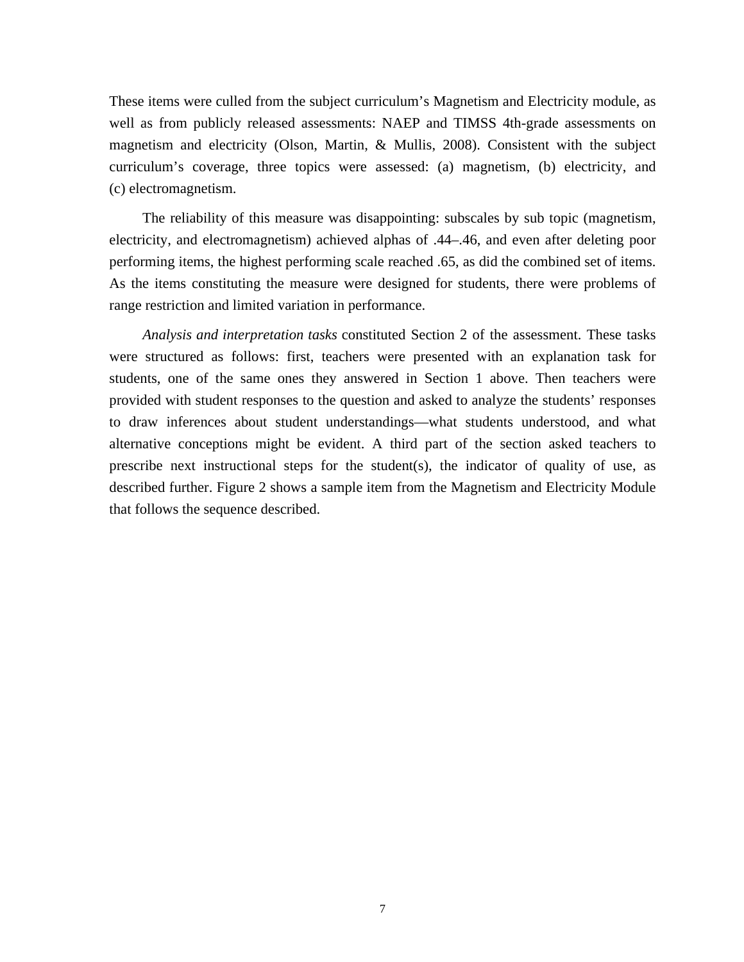These items were culled from the subject curriculum's Magnetism and Electricity module, as well as from publicly released assessments: NAEP and TIMSS 4th-grade assessments on magnetism and electricity (Olson, Martin, & Mullis, 2008). Consistent with the subject curriculum's coverage, three topics were assessed: (a) magnetism, (b) electricity, and (c) electromagnetism.

The reliability of this measure was disappointing: subscales by sub topic (magnetism, electricity, and electromagnetism) achieved alphas of .44–.46, and even after deleting poor performing items, the highest performing scale reached .65, as did the combined set of items. As the items constituting the measure were designed for students, there were problems of range restriction and limited variation in performance.

*Analysis and interpretation tasks* constituted Section 2 of the assessment. These tasks were structured as follows: first, teachers were presented with an explanation task for students, one of the same ones they answered in Section 1 above. Then teachers were provided with student responses to the question and asked to analyze the students' responses to draw inferences about student understandings—what students understood, and what alternative conceptions might be evident. A third part of the section asked teachers to prescribe next instructional steps for the student(s), the indicator of quality of use, as described further. Figure 2 shows a sample item from the Magnetism and Electricity Module that follows the sequence described.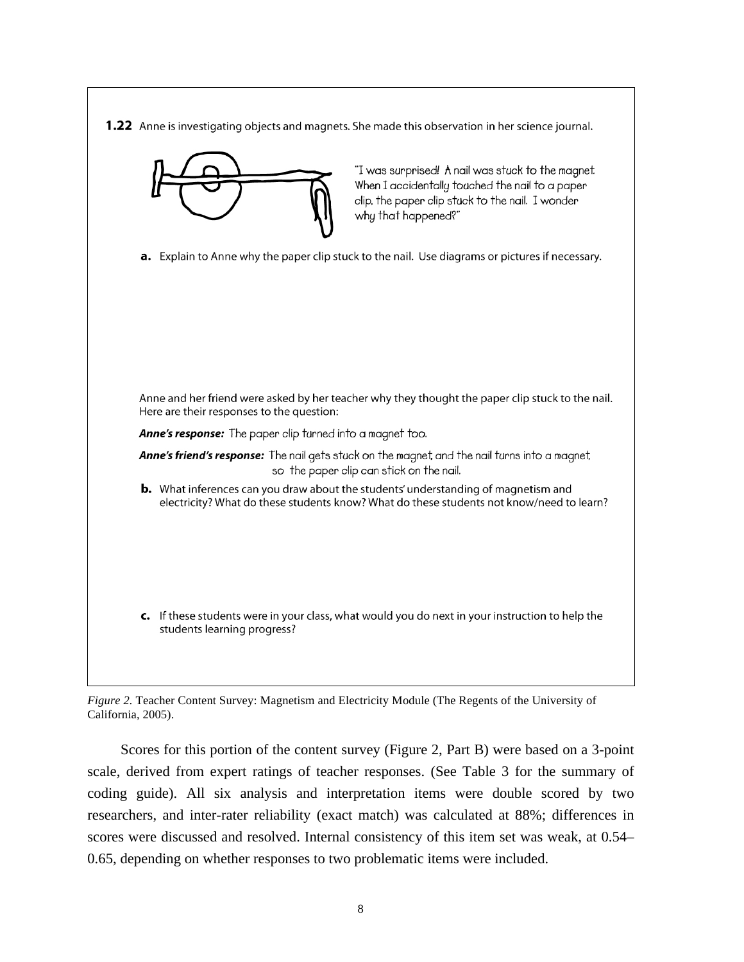**1.22** Anne is investigating objects and magnets. She made this observation in her science journal.



*Figure 2.* Teacher Content Survey: Magnetism and Electricity Module (The Regents of the University of California, 2005).

Scores for this portion of the content survey (Figure 2, Part B) were based on a 3-point scale, derived from expert ratings of teacher responses. (See Table 3 for the summary of coding guide). All six analysis and interpretation items were double scored by two researchers, and inter-rater reliability (exact match) was calculated at 88%; differences in scores were discussed and resolved. Internal consistency of this item set was weak, at 0.54– 0.65, depending on whether responses to two problematic items were included.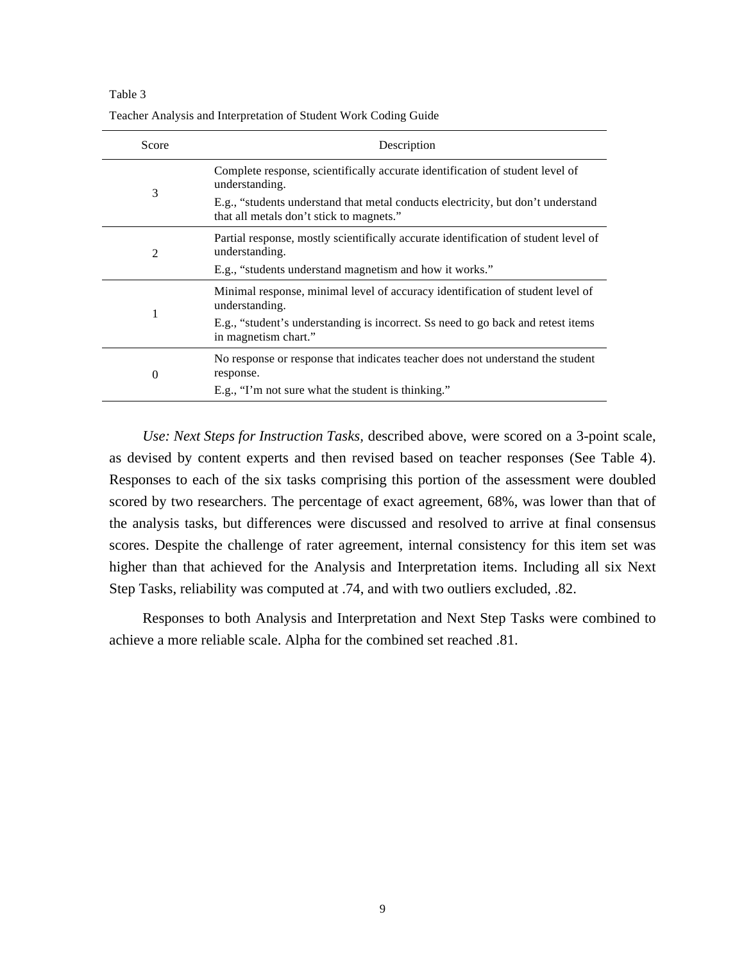| Score    | Description                                                                                                                  |
|----------|------------------------------------------------------------------------------------------------------------------------------|
|          | Complete response, scientifically accurate identification of student level of<br>understanding.                              |
| 3        | E.g., "students understand that metal conducts electricity, but don't understand<br>that all metals don't stick to magnets." |
| 2        | Partial response, mostly scientifically accurate identification of student level of<br>understanding.                        |
|          | E.g., "students understand magnetism and how it works."                                                                      |
|          | Minimal response, minimal level of accuracy identification of student level of<br>understanding.                             |
|          | E.g., "student's understanding is incorrect. Ss need to go back and retest items<br>in magnetism chart."                     |
| $\Omega$ | No response or response that indicates teacher does not understand the student<br>response.                                  |
|          | E.g., "I'm not sure what the student is thinking."                                                                           |

Teacher Analysis and Interpretation of Student Work Coding Guide

*Use: Next Steps for Instruction Tasks,* described above, were scored on a 3-point scale, as devised by content experts and then revised based on teacher responses (See Table 4). Responses to each of the six tasks comprising this portion of the assessment were doubled scored by two researchers. The percentage of exact agreement, 68%, was lower than that of the analysis tasks, but differences were discussed and resolved to arrive at final consensus scores. Despite the challenge of rater agreement, internal consistency for this item set was higher than that achieved for the Analysis and Interpretation items. Including all six Next Step Tasks, reliability was computed at .74, and with two outliers excluded, .82.

Responses to both Analysis and Interpretation and Next Step Tasks were combined to achieve a more reliable scale. Alpha for the combined set reached .81.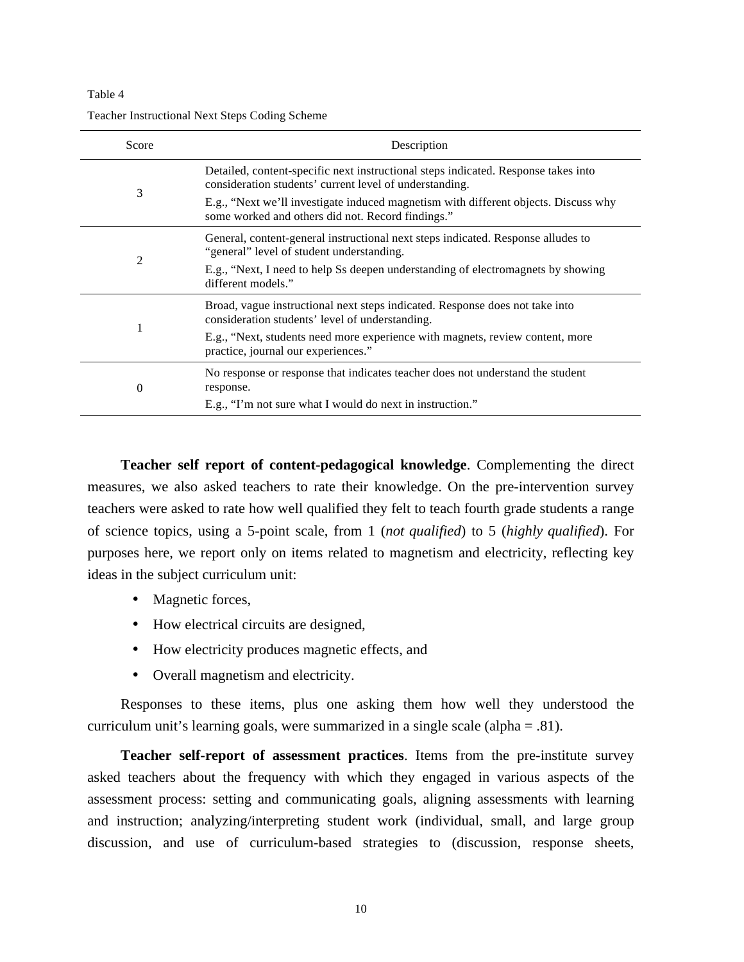| Score | Description                                                                                                                                   |
|-------|-----------------------------------------------------------------------------------------------------------------------------------------------|
|       | Detailed, content-specific next instructional steps indicated. Response takes into<br>consideration students' current level of understanding. |
| 3     | E.g., "Next we'll investigate induced magnetism with different objects. Discuss why<br>some worked and others did not. Record findings."      |
|       | General, content-general instructional next steps indicated. Response alludes to<br>"general" level of student understanding.                 |
| 2     | E.g., "Next, I need to help Ss deepen understanding of electromagnets by showing<br>different models."                                        |
|       | Broad, vague instructional next steps indicated. Response does not take into<br>consideration students' level of understanding.               |
|       | E.g., "Next, students need more experience with magnets, review content, more<br>practice, journal our experiences."                          |
| 0     | No response or response that indicates teacher does not understand the student<br>response.                                                   |
|       | E.g., "I'm not sure what I would do next in instruction."                                                                                     |

Teacher Instructional Next Steps Coding Scheme

**Teacher self report of content-pedagogical knowledge**. Complementing the direct measures, we also asked teachers to rate their knowledge. On the pre-intervention survey teachers were asked to rate how well qualified they felt to teach fourth grade students a range of science topics, using a 5-point scale, from 1 (*not qualified*) to 5 (*highly qualified*). For purposes here, we report only on items related to magnetism and electricity, reflecting key ideas in the subject curriculum unit:

- Magnetic forces,
- How electrical circuits are designed,
- How electricity produces magnetic effects, and
- Overall magnetism and electricity.

Responses to these items, plus one asking them how well they understood the curriculum unit's learning goals, were summarized in a single scale (alpha = .81).

**Teacher self-report of assessment practices**. Items from the pre-institute survey asked teachers about the frequency with which they engaged in various aspects of the assessment process: setting and communicating goals, aligning assessments with learning and instruction; analyzing/interpreting student work (individual, small, and large group discussion, and use of curriculum-based strategies to (discussion, response sheets,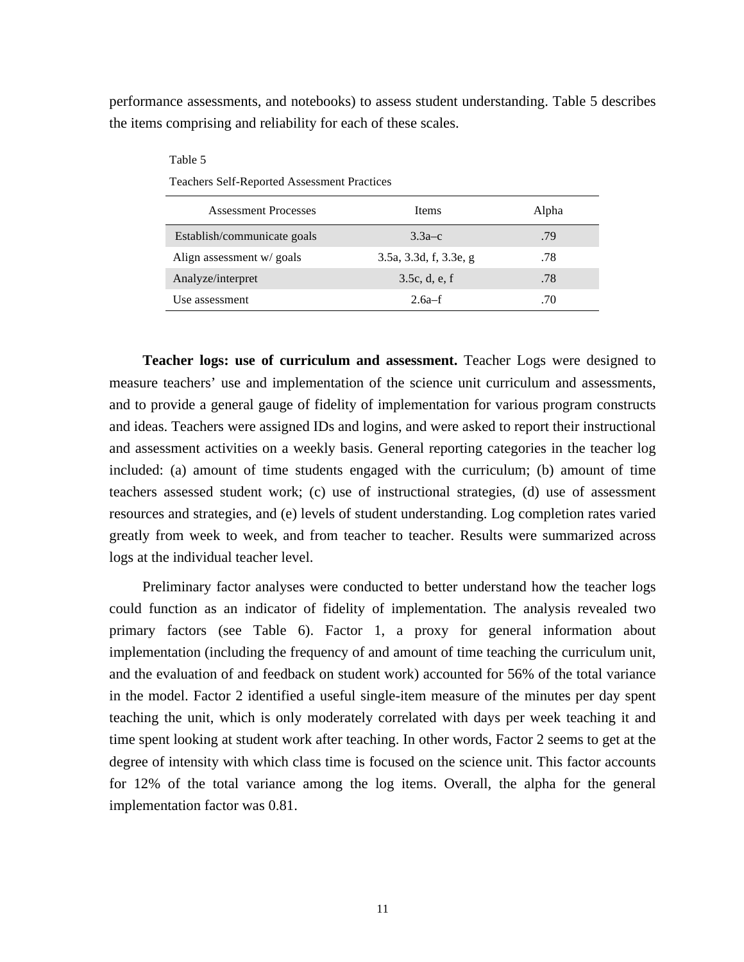performance assessments, and notebooks) to assess student understanding. Table 5 describes the items comprising and reliability for each of these scales.

| Table 5                                            |                        |       |  |  |
|----------------------------------------------------|------------------------|-------|--|--|
| <b>Teachers Self-Reported Assessment Practices</b> |                        |       |  |  |
| <b>Assessment Processes</b>                        | <b>Items</b>           | Alpha |  |  |
| Establish/communicate goals                        | $3.3a-c$               | .79   |  |  |
| Align assessment w/ goals                          | 3.5a, 3.3d, f, 3.3e, g | .78   |  |  |
| Analyze/interpret                                  | 3.5c, d, e, f          | .78   |  |  |
| Use assessment                                     | $2.6a-f$               | .70   |  |  |

**Teacher logs: use of curriculum and assessment.** Teacher Logs were designed to measure teachers' use and implementation of the science unit curriculum and assessments, and to provide a general gauge of fidelity of implementation for various program constructs and ideas. Teachers were assigned IDs and logins, and were asked to report their instructional and assessment activities on a weekly basis. General reporting categories in the teacher log included: (a) amount of time students engaged with the curriculum; (b) amount of time teachers assessed student work; (c) use of instructional strategies, (d) use of assessment resources and strategies, and (e) levels of student understanding. Log completion rates varied greatly from week to week, and from teacher to teacher. Results were summarized across logs at the individual teacher level.

Preliminary factor analyses were conducted to better understand how the teacher logs could function as an indicator of fidelity of implementation. The analysis revealed two primary factors (see Table 6). Factor 1, a proxy for general information about implementation (including the frequency of and amount of time teaching the curriculum unit, and the evaluation of and feedback on student work) accounted for 56% of the total variance in the model. Factor 2 identified a useful single-item measure of the minutes per day spent teaching the unit, which is only moderately correlated with days per week teaching it and time spent looking at student work after teaching. In other words, Factor 2 seems to get at the degree of intensity with which class time is focused on the science unit. This factor accounts for 12% of the total variance among the log items. Overall, the alpha for the general implementation factor was 0.81.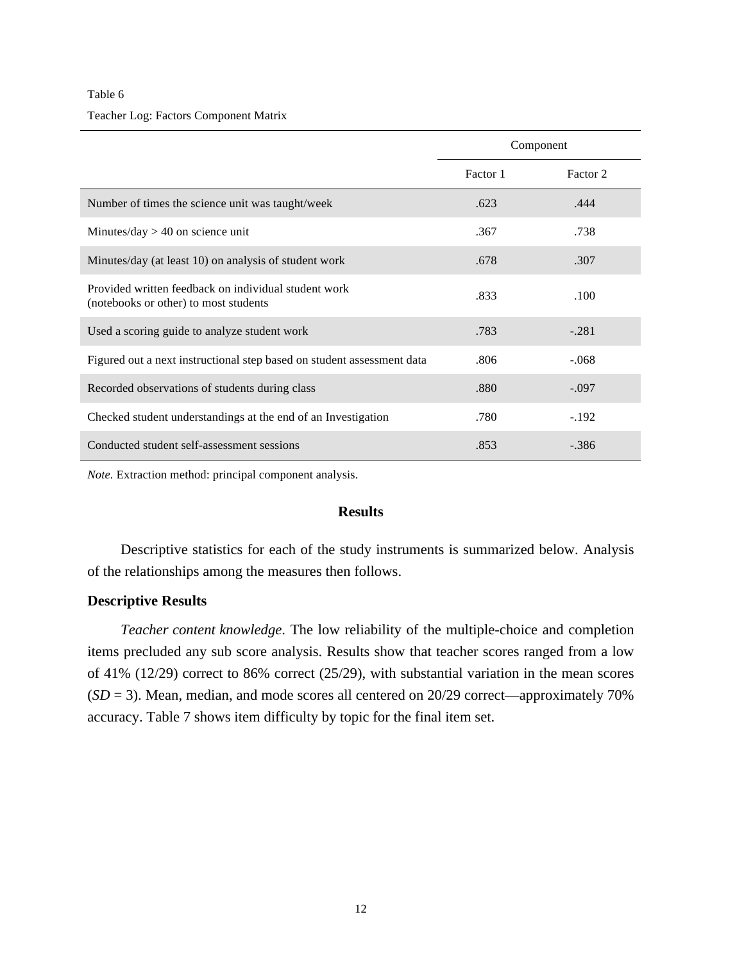#### Teacher Log: Factors Component Matrix

|                                                                                               | Component |          |
|-----------------------------------------------------------------------------------------------|-----------|----------|
|                                                                                               | Factor 1  | Factor 2 |
| Number of times the science unit was taught/week                                              | .623      | .444     |
| Minutes/day $> 40$ on science unit                                                            | .367      | .738     |
| Minutes/day (at least 10) on analysis of student work                                         | .678      | .307     |
| Provided written feedback on individual student work<br>(notebooks or other) to most students | .833      | .100     |
| Used a scoring guide to analyze student work                                                  | .783      | $-.281$  |
| Figured out a next instructional step based on student assessment data                        | .806      | $-.068$  |
| Recorded observations of students during class                                                | .880      | $-.097$  |
| Checked student understandings at the end of an Investigation                                 | .780      | $-.192$  |
| Conducted student self-assessment sessions                                                    | .853      | $-.386$  |

*Note.* Extraction method: principal component analysis.

## **Results**

Descriptive statistics for each of the study instruments is summarized below. Analysis of the relationships among the measures then follows.

# **Descriptive Results**

*Teacher content knowledge*. The low reliability of the multiple-choice and completion items precluded any sub score analysis. Results show that teacher scores ranged from a low of 41% (12/29) correct to 86% correct (25/29), with substantial variation in the mean scores  $(SD = 3)$ . Mean, median, and mode scores all centered on 20/29 correct—approximately 70% accuracy. Table 7 shows item difficulty by topic for the final item set.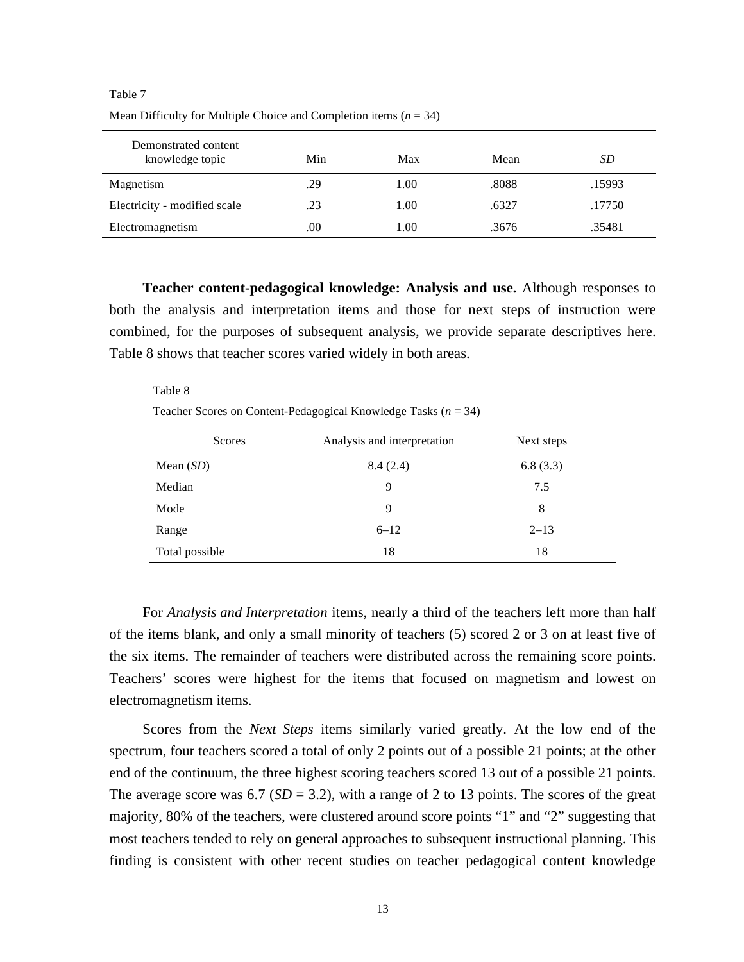| Demonstrated content<br>knowledge topic | Min  | Max  | Mean  | SD     |
|-----------------------------------------|------|------|-------|--------|
| Magnetism                               | .29  | 1.00 | .8088 | .15993 |
| Electricity - modified scale            | .23  | 1.00 | .6327 | .17750 |
| Electromagnetism                        | .00. | 1.00 | .3676 | .35481 |

Mean Difficulty for Multiple Choice and Completion items (*n* = 34)

**Teacher content-pedagogical knowledge: Analysis and use.** Although responses to both the analysis and interpretation items and those for next steps of instruction were combined, for the purposes of subsequent analysis, we provide separate descriptives here. Table 8 shows that teacher scores varied widely in both areas.

Table 8 Teacher Scores on Content-Pedagogical Knowledge Tasks (*n* = 34)

| Scores         | Analysis and interpretation | Next steps |
|----------------|-----------------------------|------------|
| Mean $(SD)$    | 8.4(2.4)                    | 6.8(3.3)   |
| Median         | 9                           | 7.5        |
| Mode           | 9                           | 8          |
| Range          | $6 - 12$                    | $2 - 13$   |
| Total possible | 18                          | 18         |

For *Analysis and Interpretation* items, nearly a third of the teachers left more than half of the items blank, and only a small minority of teachers (5) scored 2 or 3 on at least five of the six items. The remainder of teachers were distributed across the remaining score points. Teachers' scores were highest for the items that focused on magnetism and lowest on electromagnetism items.

Scores from the *Next Steps* items similarly varied greatly. At the low end of the spectrum, four teachers scored a total of only 2 points out of a possible 21 points; at the other end of the continuum, the three highest scoring teachers scored 13 out of a possible 21 points. The average score was  $6.7$  ( $SD = 3.2$ ), with a range of 2 to 13 points. The scores of the great majority, 80% of the teachers, were clustered around score points "1" and "2" suggesting that most teachers tended to rely on general approaches to subsequent instructional planning. This finding is consistent with other recent studies on teacher pedagogical content knowledge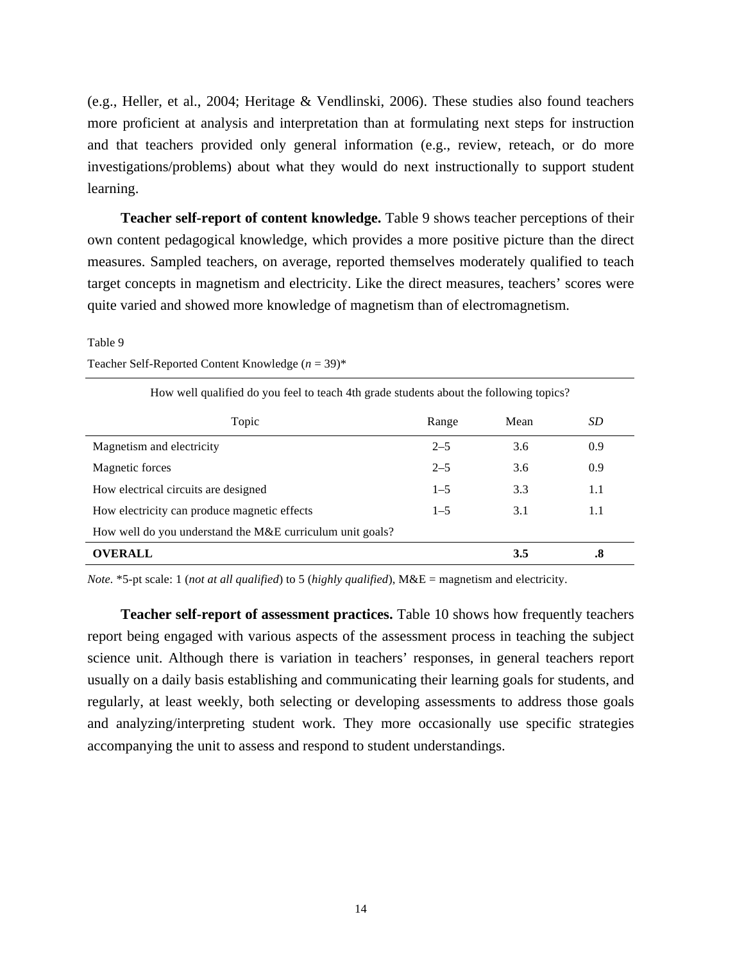(e.g., Heller, et al., 2004; Heritage & Vendlinski, 2006). These studies also found teachers more proficient at analysis and interpretation than at formulating next steps for instruction and that teachers provided only general information (e.g., review, reteach, or do more investigations/problems) about what they would do next instructionally to support student learning.

**Teacher self-report of content knowledge.** Table 9 shows teacher perceptions of their own content pedagogical knowledge, which provides a more positive picture than the direct measures. Sampled teachers, on average, reported themselves moderately qualified to teach target concepts in magnetism and electricity. Like the direct measures, teachers' scores were quite varied and showed more knowledge of magnetism than of electromagnetism.

#### Table 9

| How well qualified do you feel to teach 4th grade students about the following topics? |         |      |     |  |
|----------------------------------------------------------------------------------------|---------|------|-----|--|
| Topic                                                                                  | Range   | Mean | SD  |  |
| Magnetism and electricity                                                              | $2 - 5$ | 3.6  | 0.9 |  |
| Magnetic forces                                                                        | $2 - 5$ | 3.6  | 0.9 |  |
| How electrical circuits are designed                                                   | $1 - 5$ | 3.3  | 1.1 |  |
| How electricity can produce magnetic effects                                           | $1 - 5$ | 3.1  | 1.1 |  |
| How well do you understand the M&E curriculum unit goals?                              |         |      |     |  |
| <b>OVERALL</b>                                                                         |         | 3.5  | .8  |  |

Teacher Self-Reported Content Knowledge (*n* = 39)\*

*Note.* \*5-pt scale: 1 (*not at all qualified*) to 5 (*highly qualified*), M&E = magnetism and electricity.

**Teacher self-report of assessment practices.** Table 10 shows how frequently teachers report being engaged with various aspects of the assessment process in teaching the subject science unit. Although there is variation in teachers' responses, in general teachers report usually on a daily basis establishing and communicating their learning goals for students, and regularly, at least weekly, both selecting or developing assessments to address those goals and analyzing/interpreting student work. They more occasionally use specific strategies accompanying the unit to assess and respond to student understandings.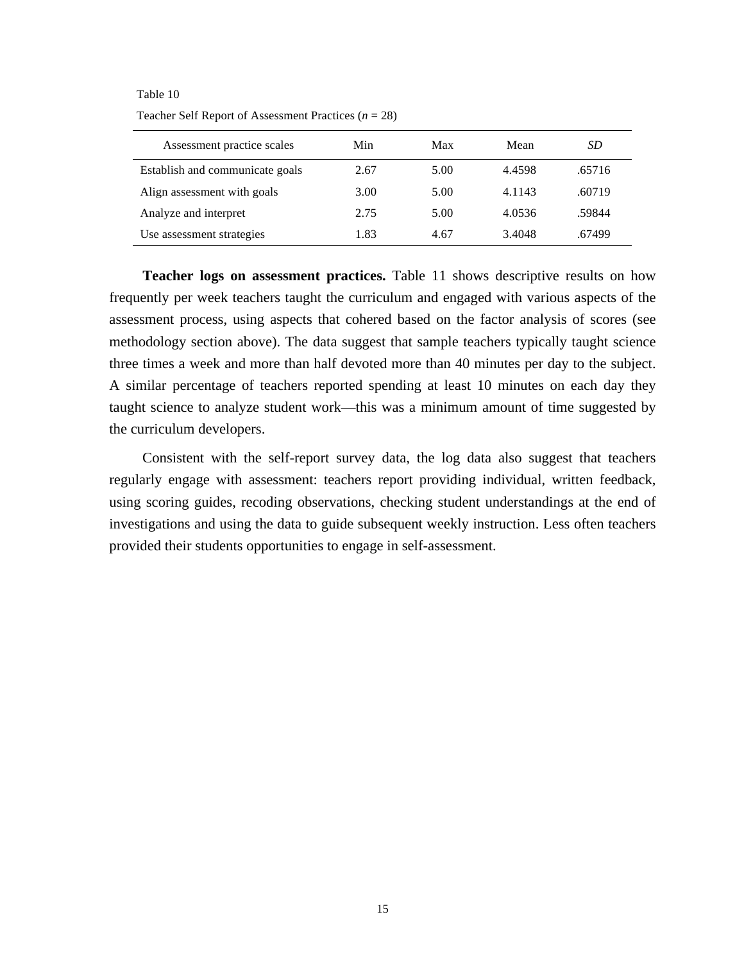# Table 10 Teacher Self Report of Assessment Practices (*n* = 28)

| Assessment practice scales      | Min  | Max  | Mean   | SD     |
|---------------------------------|------|------|--------|--------|
| Establish and communicate goals | 2.67 | 5.00 | 4.4598 | .65716 |
| Align assessment with goals     | 3.00 | 5.00 | 4.1143 | .60719 |
| Analyze and interpret           | 2.75 | 5.00 | 4.0536 | .59844 |
| Use assessment strategies       | 1.83 | 4.67 | 3.4048 | .67499 |

**Teacher logs on assessment practices.** Table 11 shows descriptive results on how frequently per week teachers taught the curriculum and engaged with various aspects of the assessment process, using aspects that cohered based on the factor analysis of scores (see methodology section above). The data suggest that sample teachers typically taught science three times a week and more than half devoted more than 40 minutes per day to the subject. A similar percentage of teachers reported spending at least 10 minutes on each day they taught science to analyze student work—this was a minimum amount of time suggested by the curriculum developers.

Consistent with the self-report survey data, the log data also suggest that teachers regularly engage with assessment: teachers report providing individual, written feedback, using scoring guides, recoding observations, checking student understandings at the end of investigations and using the data to guide subsequent weekly instruction. Less often teachers provided their students opportunities to engage in self-assessment.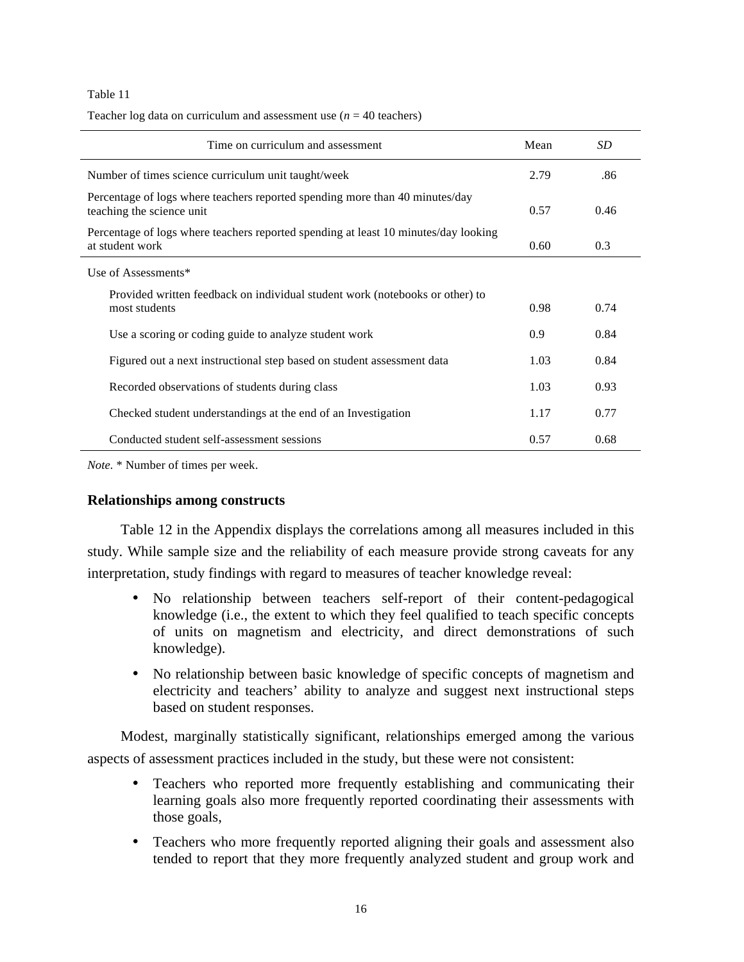| Time on curriculum and assessment                                                                         | Mean | SD   |
|-----------------------------------------------------------------------------------------------------------|------|------|
| Number of times science curriculum unit taught/week                                                       | 2.79 | .86  |
| Percentage of logs where teachers reported spending more than 40 minutes/day<br>teaching the science unit | 0.57 | 0.46 |
| Percentage of logs where teachers reported spending at least 10 minutes/day looking<br>at student work    | 0.60 | 0.3  |
| Use of Assessments*                                                                                       |      |      |
| Provided written feedback on individual student work (notebooks or other) to<br>most students             | 0.98 | 0.74 |
| Use a scoring or coding guide to analyze student work                                                     | 0.9  | 0.84 |
| Figured out a next instructional step based on student assessment data                                    | 1.03 | 0.84 |
| Recorded observations of students during class                                                            | 1.03 | 0.93 |
| Checked student understandings at the end of an Investigation                                             | 1.17 | 0.77 |
| Conducted student self-assessment sessions                                                                | 0.57 | 0.68 |

Teacher log data on curriculum and assessment use  $(n = 40 \text{ teachers})$ 

*Note.* \* Number of times per week.

## **Relationships among constructs**

Table 12 in the Appendix displays the correlations among all measures included in this study. While sample size and the reliability of each measure provide strong caveats for any interpretation, study findings with regard to measures of teacher knowledge reveal:

- No relationship between teachers self-report of their content-pedagogical knowledge (i.e., the extent to which they feel qualified to teach specific concepts of units on magnetism and electricity, and direct demonstrations of such knowledge).
- No relationship between basic knowledge of specific concepts of magnetism and electricity and teachers' ability to analyze and suggest next instructional steps based on student responses.

Modest, marginally statistically significant, relationships emerged among the various aspects of assessment practices included in the study, but these were not consistent:

- Teachers who reported more frequently establishing and communicating their learning goals also more frequently reported coordinating their assessments with those goals,
- Teachers who more frequently reported aligning their goals and assessment also tended to report that they more frequently analyzed student and group work and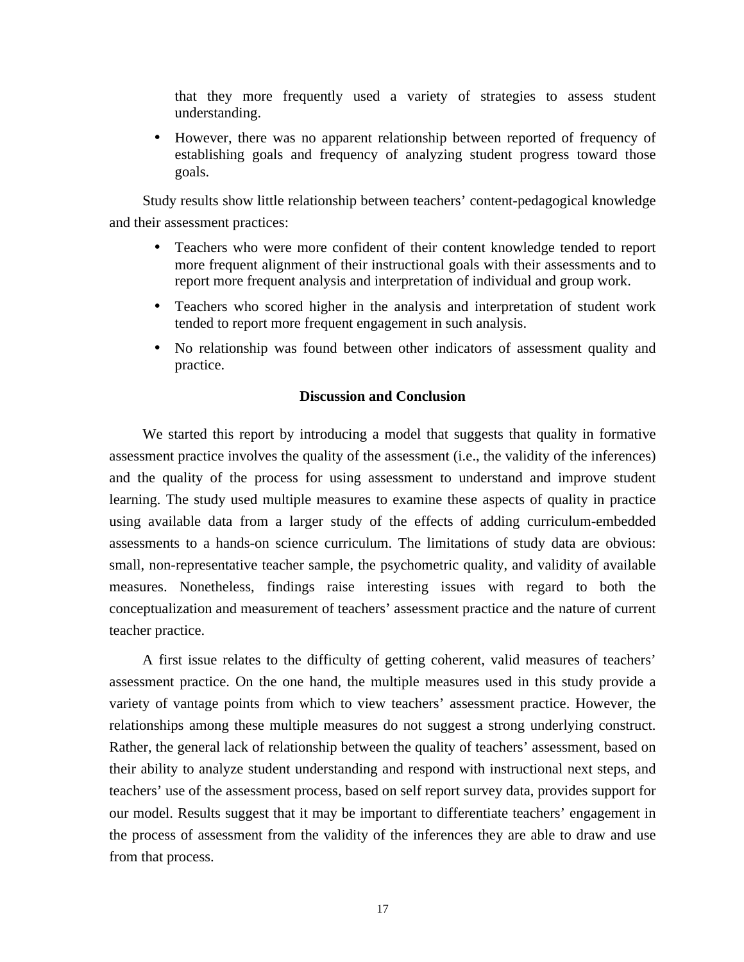that they more frequently used a variety of strategies to assess student understanding.

• However, there was no apparent relationship between reported of frequency of establishing goals and frequency of analyzing student progress toward those goals.

Study results show little relationship between teachers' content-pedagogical knowledge and their assessment practices:

- Teachers who were more confident of their content knowledge tended to report more frequent alignment of their instructional goals with their assessments and to report more frequent analysis and interpretation of individual and group work.
- Teachers who scored higher in the analysis and interpretation of student work tended to report more frequent engagement in such analysis.
- No relationship was found between other indicators of assessment quality and practice.

# **Discussion and Conclusion**

We started this report by introducing a model that suggests that quality in formative assessment practice involves the quality of the assessment (i.e., the validity of the inferences) and the quality of the process for using assessment to understand and improve student learning. The study used multiple measures to examine these aspects of quality in practice using available data from a larger study of the effects of adding curriculum-embedded assessments to a hands-on science curriculum. The limitations of study data are obvious: small, non-representative teacher sample, the psychometric quality, and validity of available measures. Nonetheless, findings raise interesting issues with regard to both the conceptualization and measurement of teachers' assessment practice and the nature of current teacher practice.

A first issue relates to the difficulty of getting coherent, valid measures of teachers' assessment practice. On the one hand, the multiple measures used in this study provide a variety of vantage points from which to view teachers' assessment practice. However, the relationships among these multiple measures do not suggest a strong underlying construct. Rather, the general lack of relationship between the quality of teachers' assessment, based on their ability to analyze student understanding and respond with instructional next steps, and teachers' use of the assessment process, based on self report survey data, provides support for our model. Results suggest that it may be important to differentiate teachers' engagement in the process of assessment from the validity of the inferences they are able to draw and use from that process.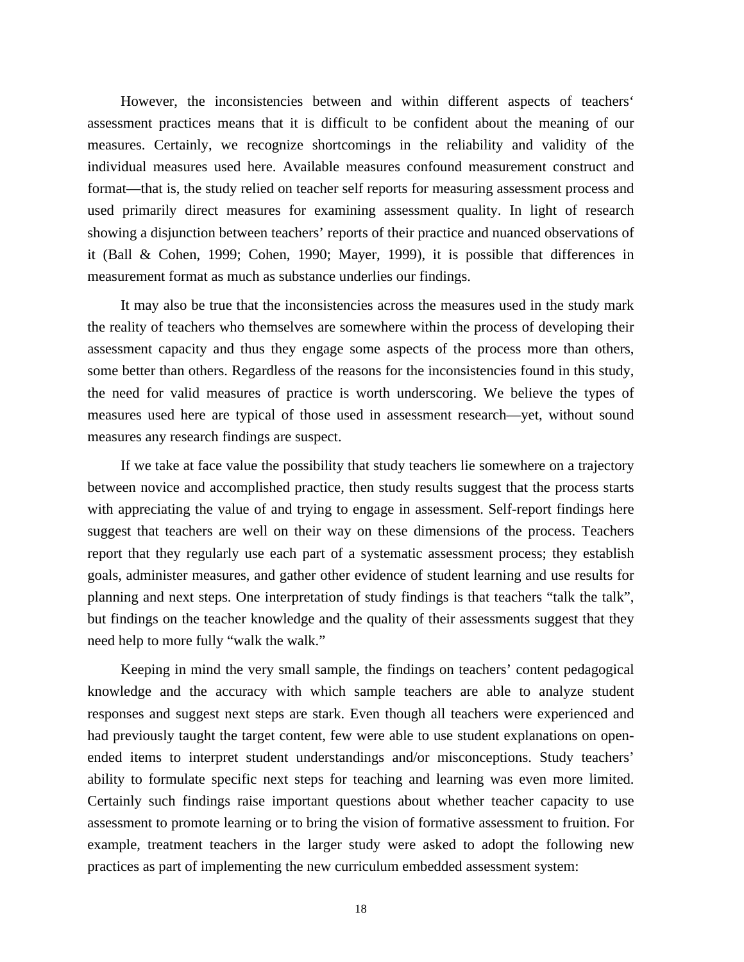However, the inconsistencies between and within different aspects of teachers' assessment practices means that it is difficult to be confident about the meaning of our measures. Certainly, we recognize shortcomings in the reliability and validity of the individual measures used here. Available measures confound measurement construct and format—that is, the study relied on teacher self reports for measuring assessment process and used primarily direct measures for examining assessment quality. In light of research showing a disjunction between teachers' reports of their practice and nuanced observations of it (Ball & Cohen, 1999; Cohen, 1990; Mayer, 1999), it is possible that differences in measurement format as much as substance underlies our findings.

It may also be true that the inconsistencies across the measures used in the study mark the reality of teachers who themselves are somewhere within the process of developing their assessment capacity and thus they engage some aspects of the process more than others, some better than others. Regardless of the reasons for the inconsistencies found in this study, the need for valid measures of practice is worth underscoring. We believe the types of measures used here are typical of those used in assessment research—yet, without sound measures any research findings are suspect.

If we take at face value the possibility that study teachers lie somewhere on a trajectory between novice and accomplished practice, then study results suggest that the process starts with appreciating the value of and trying to engage in assessment. Self-report findings here suggest that teachers are well on their way on these dimensions of the process. Teachers report that they regularly use each part of a systematic assessment process; they establish goals, administer measures, and gather other evidence of student learning and use results for planning and next steps. One interpretation of study findings is that teachers "talk the talk", but findings on the teacher knowledge and the quality of their assessments suggest that they need help to more fully "walk the walk."

Keeping in mind the very small sample, the findings on teachers' content pedagogical knowledge and the accuracy with which sample teachers are able to analyze student responses and suggest next steps are stark. Even though all teachers were experienced and had previously taught the target content, few were able to use student explanations on openended items to interpret student understandings and/or misconceptions. Study teachers' ability to formulate specific next steps for teaching and learning was even more limited. Certainly such findings raise important questions about whether teacher capacity to use assessment to promote learning or to bring the vision of formative assessment to fruition. For example, treatment teachers in the larger study were asked to adopt the following new practices as part of implementing the new curriculum embedded assessment system: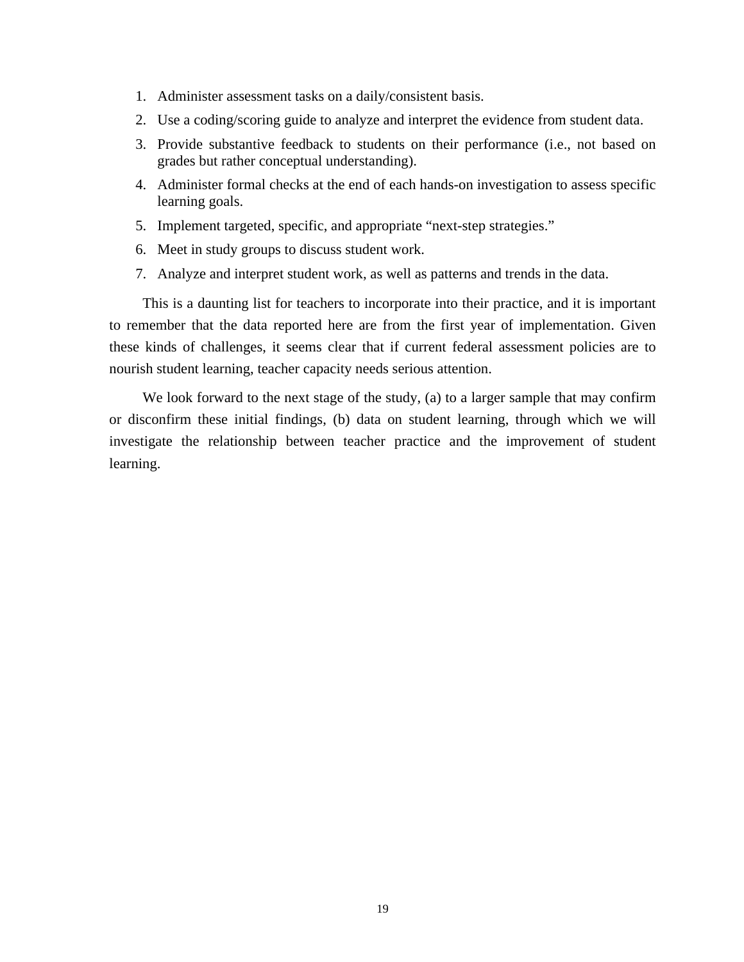- 1. Administer assessment tasks on a daily/consistent basis.
- 2. Use a coding/scoring guide to analyze and interpret the evidence from student data.
- 3. Provide substantive feedback to students on their performance (i.e., not based on grades but rather conceptual understanding).
- 4. Administer formal checks at the end of each hands-on investigation to assess specific learning goals.
- 5. Implement targeted, specific, and appropriate "next-step strategies."
- 6. Meet in study groups to discuss student work.
- 7. Analyze and interpret student work, as well as patterns and trends in the data.

This is a daunting list for teachers to incorporate into their practice, and it is important to remember that the data reported here are from the first year of implementation. Given these kinds of challenges, it seems clear that if current federal assessment policies are to nourish student learning, teacher capacity needs serious attention.

We look forward to the next stage of the study, (a) to a larger sample that may confirm or disconfirm these initial findings, (b) data on student learning, through which we will investigate the relationship between teacher practice and the improvement of student learning.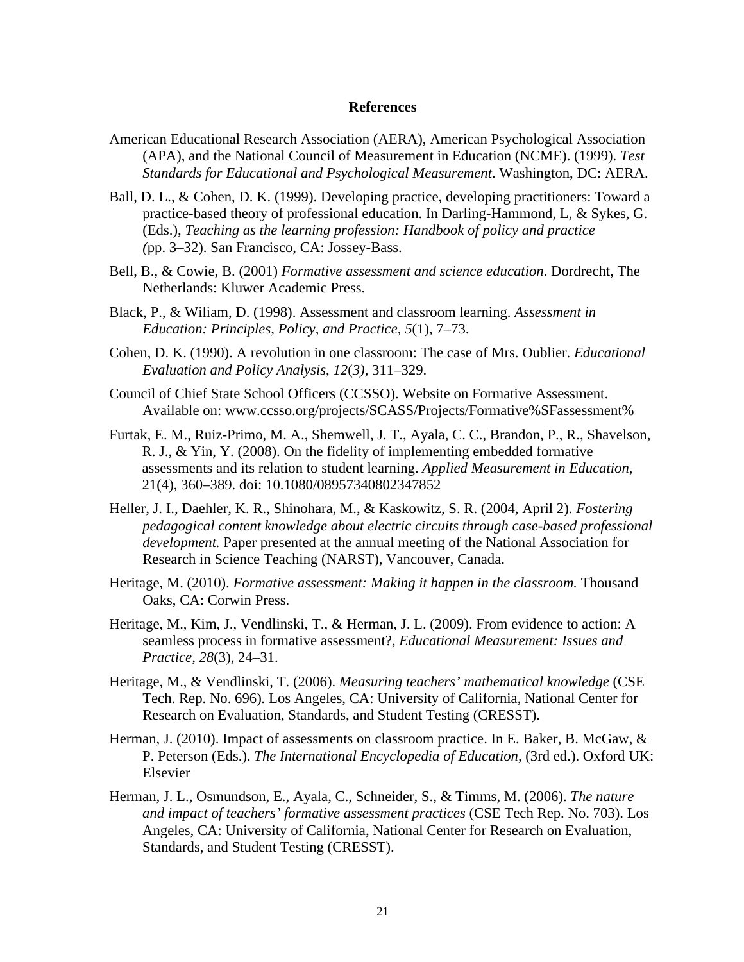## **References**

- American Educational Research Association (AERA), American Psychological Association (APA), and the National Council of Measurement in Education (NCME). (1999). *Test Standards for Educational and Psychological Measurement*. Washington, DC: AERA.
- Ball, D. L., & Cohen, D. K. (1999). Developing practice, developing practitioners: Toward a practice-based theory of professional education. In Darling-Hammond, L, & Sykes, G. (Eds.), *Teaching as the learning profession: Handbook of policy and practice (*pp. 3–32). San Francisco, CA: Jossey-Bass.
- Bell, B., & Cowie, B. (2001) *Formative assessment and science education*. Dordrecht, The Netherlands: Kluwer Academic Press.
- Black, P., & Wiliam, D. (1998). Assessment and classroom learning. *Assessment in Education: Principles, Policy, and Practice, 5*(1), 7–73.
- Cohen, D. K. (1990). A revolution in one classroom: The case of Mrs. Oublier. *Educational Evaluation and Policy Analysis*, *12*(*3),* 311–329.
- Council of Chief State School Officers (CCSSO). Website on Formative Assessment. Available on: www.ccsso.org/projects/SCASS/Projects/Formative%SFassessment%
- Furtak, E. M., Ruiz-Primo, M. A., Shemwell, J. T., Ayala, C. C., Brandon, P., R., Shavelson, R. J., & Yin, Y. (2008). On the fidelity of implementing embedded formative assessments and its relation to student learning. *Applied Measurement in Education*, 21(4), 360–389. doi: 10.1080/08957340802347852
- Heller, J. I., Daehler, K. R., Shinohara, M., & Kaskowitz, S. R. (2004, April 2). *Fostering pedagogical content knowledge about electric circuits through case-based professional development.* Paper presented at the annual meeting of the National Association for Research in Science Teaching (NARST), Vancouver, Canada.
- Heritage, M. (2010). *Formative assessment: Making it happen in the classroom.* Thousand Oaks, CA: Corwin Press.
- Heritage, M., Kim, J., Vendlinski, T., & Herman, J. L. (2009). From evidence to action: A seamless process in formative assessment?, *Educational Measurement: Issues and Practice, 28*(3), 24–31.
- Heritage, M., & Vendlinski, T. (2006). *Measuring teachers' mathematical knowledge* (CSE Tech. Rep. No. 696)*.* Los Angeles, CA: University of California, National Center for Research on Evaluation, Standards, and Student Testing (CRESST).
- Herman, J. (2010). Impact of assessments on classroom practice. In E. Baker, B. McGaw, & P. Peterson (Eds.). *The International Encyclopedia of Education,* (3rd ed.). Oxford UK: Elsevier
- Herman, J. L., Osmundson, E., Ayala, C., Schneider, S., & Timms, M. (2006). *The nature and impact of teachers' formative assessment practices* (CSE Tech Rep. No. 703). Los Angeles, CA: University of California, National Center for Research on Evaluation, Standards, and Student Testing (CRESST).